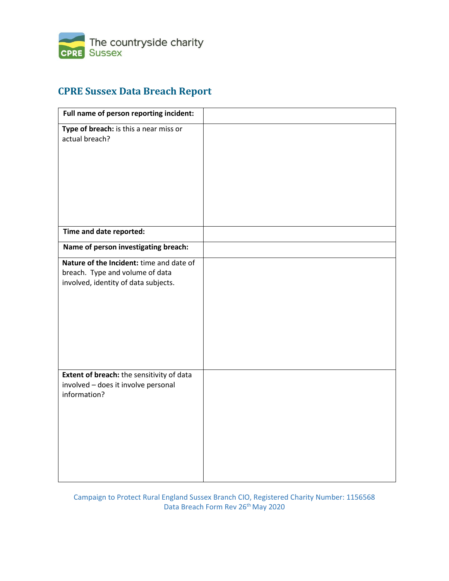

## **CPRE Sussex Data Breach Report**

| Full name of person reporting incident:                                                                             |  |
|---------------------------------------------------------------------------------------------------------------------|--|
| Type of breach: is this a near miss or<br>actual breach?                                                            |  |
| Time and date reported:                                                                                             |  |
| Name of person investigating breach:                                                                                |  |
| Nature of the Incident: time and date of<br>breach. Type and volume of data<br>involved, identity of data subjects. |  |
| Extent of breach: the sensitivity of data<br>involved - does it involve personal<br>information?                    |  |